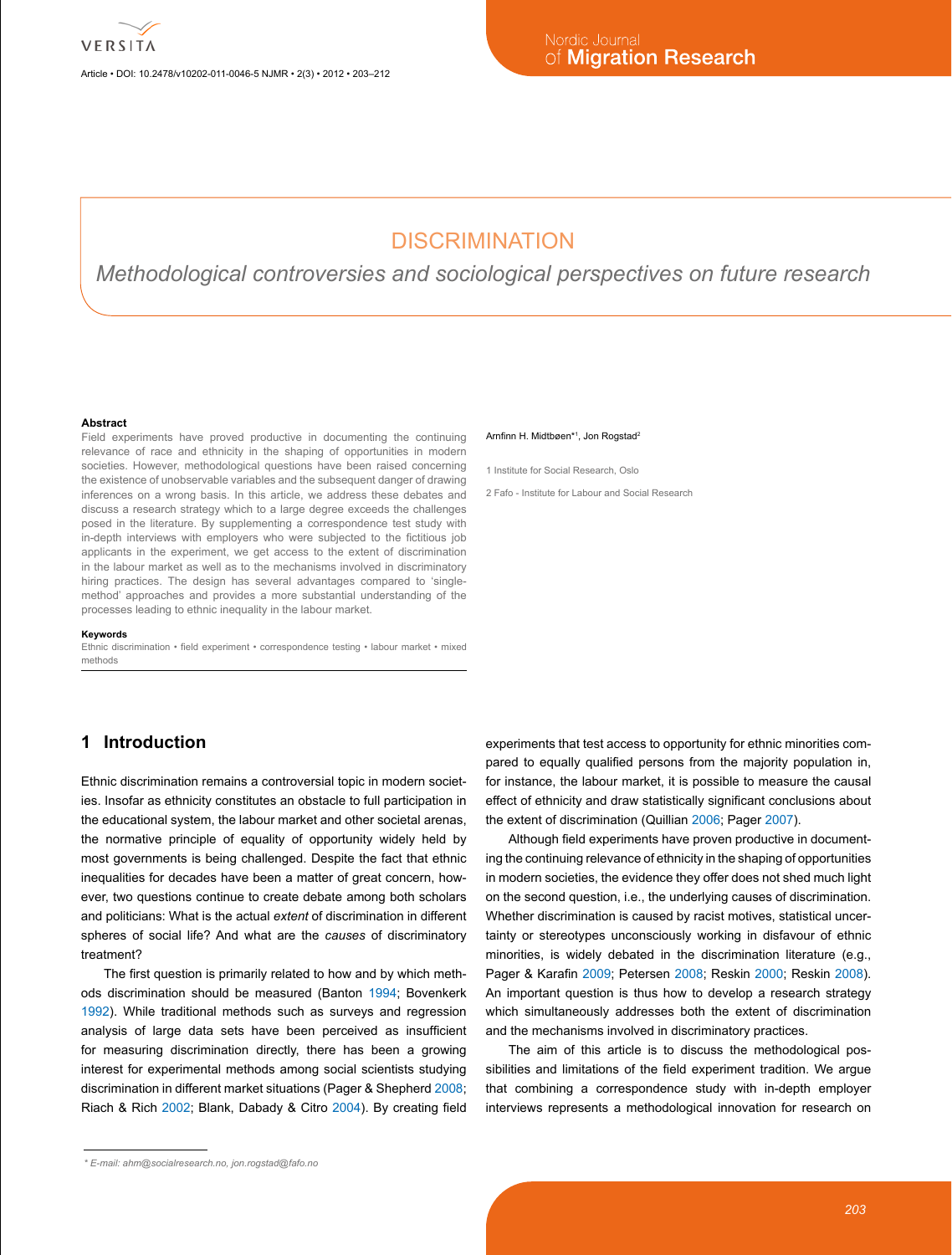Article • DOI: 10.2478/v10202-011-0046-5 NJMR • 2(3) • 2012 • 203-212

# **DISCRIMINATION**

Methodological controversies and sociological perspectives on future research

#### **Abstract**

Field experiments have proved productive in documenting the continuing relevance of race and ethnicity in the shaping of opportunities in modern societies. However, methodological questions have been raised concerning the existence of unobservable variables and the subsequent danger of drawing inferences on a wrong basis. In this article, we address these debates and discuss a research strategy which to a large degree exceeds the challenges posed in the literature. By supplementing a correspondence test study with in-depth interviews with employers who were subjected to the fictitious job applicants in the experiment, we get access to the extent of discrimination in the labour market as well as to the mechanisms involved in discriminatory hiring practices. The design has several advantages compared to 'singlemethod' approaches and provides a more substantial understanding of the processes leading to ethnic inequality in the labour market.

#### Keywords

Ethnic discrimination • field experiment • correspondence testing • labour market • mixed methods

#### Arnfinn H. Midtbøen\*1, Jon Rogstad<sup>2</sup>

1 Institute for Social Research, Oslo

2 Fafo - Institute for Labour and Social Research

# 1 Introduction

Ethnic discrimination remains a controversial topic in modern societies. Insofar as ethnicity constitutes an obstacle to full participation in the educational system, the labour market and other societal arenas, the normative principle of equality of opportunity widely held by most governments is being challenged. Despite the fact that ethnic inequalities for decades have been a matter of great concern, however, two questions continue to create debate among both scholars and politicians: What is the actual extent of discrimination in different spheres of social life? And what are the causes of discriminatory treatment?

The first question is primarily related to how and by which methods discrimination should be measured (Banton 1994; Bovenkerk 1992). While traditional methods such as surveys and regression analysis of large data sets have been perceived as insufficient for measuring discrimination directly, there has been a growing interest for experimental methods among social scientists studying discrimination in different market situations (Pager & Shepherd 2008; Riach & Rich 2002; Blank, Dabady & Citro 2004). By creating field

experiments that test access to opportunity for ethnic minorities compared to equally qualified persons from the majority population in, for instance, the labour market, it is possible to measure the causal effect of ethnicity and draw statistically significant conclusions about the extent of discrimination (Quillian 2006; Pager 2007).

Although field experiments have proven productive in documenting the continuing relevance of ethnicity in the shaping of opportunities in modern societies, the evidence they offer does not shed much light on the second question, i.e., the underlying causes of discrimination. Whether discrimination is caused by racist motives, statistical uncertainty or stereotypes unconsciously working in disfavour of ethnic minorities, is widely debated in the discrimination literature (e.g., Pager & Karafin 2009; Petersen 2008; Reskin 2000; Reskin 2008). An important question is thus how to develop a research strategy which simultaneously addresses both the extent of discrimination and the mechanisms involved in discriminatory practices.

The aim of this article is to discuss the methodological possibilities and limitations of the field experiment tradition. We argue that combining a correspondence study with in-depth employer interviews represents a methodological innovation for research on

<sup>\*</sup> E-mail: ahm@socialresearch.no, jon.rogstad@fafo.no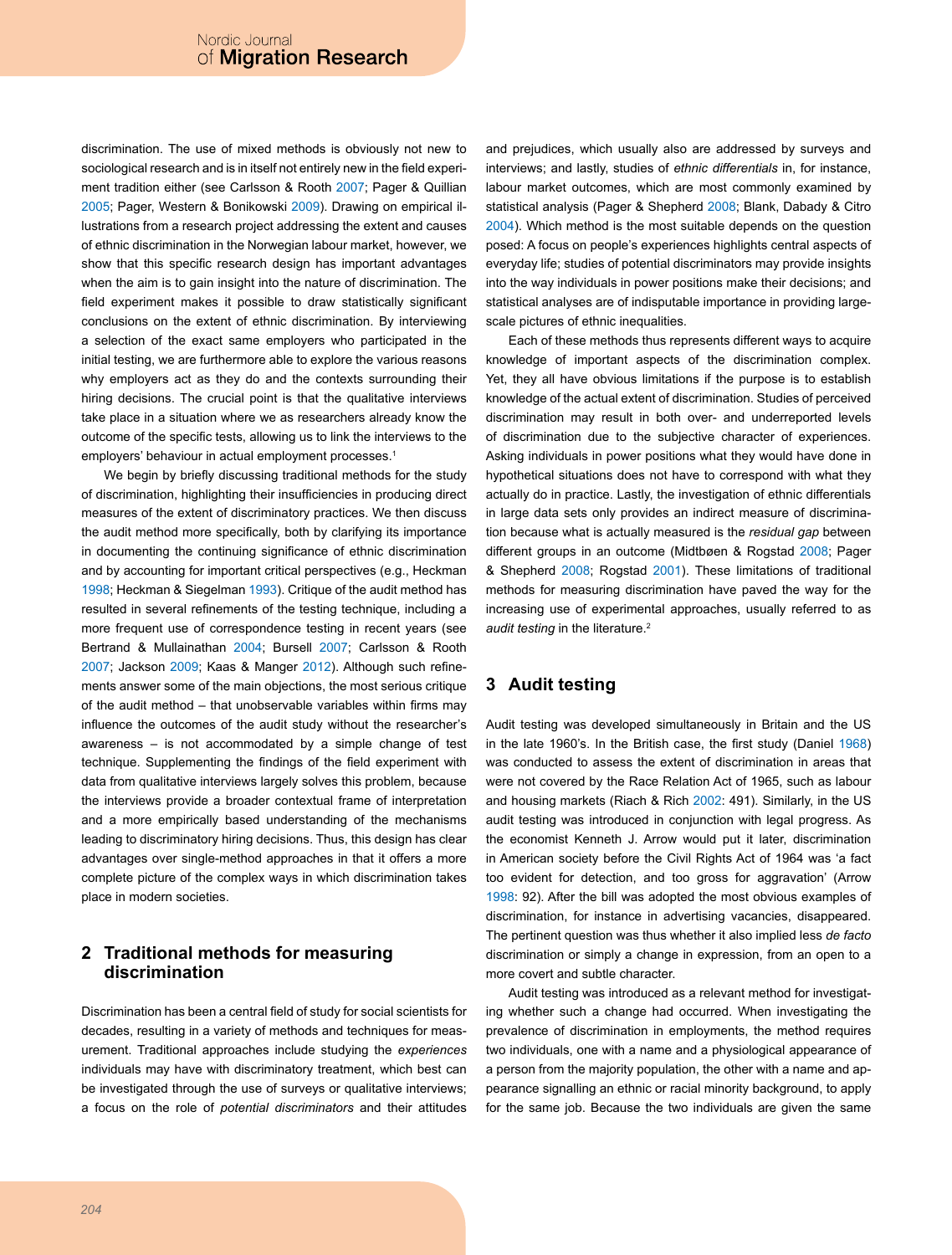discrimination. The use of mixed methods is obviously not new to sociological research and is in itself not entirely new in the field experiment tradition either (see Carlsson & Rooth 2007; Pager & Quillian 2005; Pager, Western & Bonikowski 2009). Drawing on empirical illustrations from a research project addressing the extent and causes of ethnic discrimination in the Norwegian labour market, however, we show that this specific research design has important advantages when the aim is to gain insight into the nature of discrimination. The field experiment makes it possible to draw statistically significant conclusions on the extent of ethnic discrimination. By interviewing a selection of the exact same employers who participated in the initial testing, we are furthermore able to explore the various reasons why employers act as they do and the contexts surrounding their hiring decisions. The crucial point is that the qualitative interviews take place in a situation where we as researchers already know the outcome of the specific tests, allowing us to link the interviews to the employers' behaviour in actual employment processes.<sup>1</sup>

We begin by briefly discussing traditional methods for the study of discrimination, highlighting their insufficiencies in producing direct measures of the extent of discriminatory practices. We then discuss the audit method more specifically, both by clarifying its importance in documenting the continuing significance of ethnic discrimination and by accounting for important critical perspectives (e.g., Heckman 1998; Heckman & Siegelman 1993). Critique of the audit method has resulted in several refinements of the testing technique, including a more frequent use of correspondence testing in recent years (see Bertrand & Mullainathan 2004; Bursell 2007; Carlsson & Rooth 2007; Jackson 2009; Kaas & Manger 2012). Although such refinements answer some of the main objections, the most serious critique of the audit method - that unobservable variables within firms may influence the outcomes of the audit study without the researcher's awareness - is not accommodated by a simple change of test technique. Supplementing the findings of the field experiment with data from qualitative interviews largely solves this problem, because the interviews provide a broader contextual frame of interpretation and a more empirically based understanding of the mechanisms leading to discriminatory hiring decisions. Thus, this design has clear advantages over single-method approaches in that it offers a more complete picture of the complex ways in which discrimination takes place in modern societies.

# 2 Traditional methods for measuring discrimination

Discrimination has been a central field of study for social scientists for decades, resulting in a variety of methods and techniques for measurement. Traditional approaches include studying the experiences individuals may have with discriminatory treatment, which best can be investigated through the use of surveys or qualitative interviews; a focus on the role of potential discriminators and their attitudes and prejudices, which usually also are addressed by surveys and interviews: and lastly, studies of ethnic differentials in, for instance. labour market outcomes, which are most commonly examined by statistical analysis (Pager & Shepherd 2008; Blank, Dabady & Citro 2004). Which method is the most suitable depends on the question posed: A focus on people's experiences highlights central aspects of everyday life; studies of potential discriminators may provide insights into the way individuals in power positions make their decisions; and statistical analyses are of indisputable importance in providing largescale pictures of ethnic inequalities.

Each of these methods thus represents different ways to acquire knowledge of important aspects of the discrimination complex. Yet, they all have obvious limitations if the purpose is to establish knowledge of the actual extent of discrimination. Studies of perceived discrimination may result in both over- and underreported levels of discrimination due to the subjective character of experiences. Asking individuals in power positions what they would have done in hypothetical situations does not have to correspond with what they actually do in practice. Lastly, the investigation of ethnic differentials in large data sets only provides an indirect measure of discrimination because what is actually measured is the residual gap between different groups in an outcome (Midtbøen & Rogstad 2008; Pager & Shepherd 2008; Rogstad 2001). These limitations of traditional methods for measuring discrimination have paved the way for the increasing use of experimental approaches, usually referred to as audit testing in the literature.<sup>2</sup>

# 3 Audit testing

Audit testing was developed simultaneously in Britain and the US in the late 1960's. In the British case, the first study (Daniel 1968) was conducted to assess the extent of discrimination in areas that were not covered by the Race Relation Act of 1965, such as labour and housing markets (Riach & Rich 2002: 491). Similarly, in the US audit testing was introduced in conjunction with legal progress. As the economist Kenneth J. Arrow would put it later, discrimination in American society before the Civil Rights Act of 1964 was 'a fact too evident for detection, and too gross for aggravation' (Arrow 1998: 92). After the bill was adopted the most obvious examples of discrimination, for instance in advertising vacancies, disappeared. The pertinent question was thus whether it also implied less de facto discrimination or simply a change in expression, from an open to a more covert and subtle character.

Audit testing was introduced as a relevant method for investigating whether such a change had occurred. When investigating the prevalence of discrimination in employments, the method requires two individuals, one with a name and a physiological appearance of a person from the majority population, the other with a name and appearance signalling an ethnic or racial minority background, to apply for the same job. Because the two individuals are given the same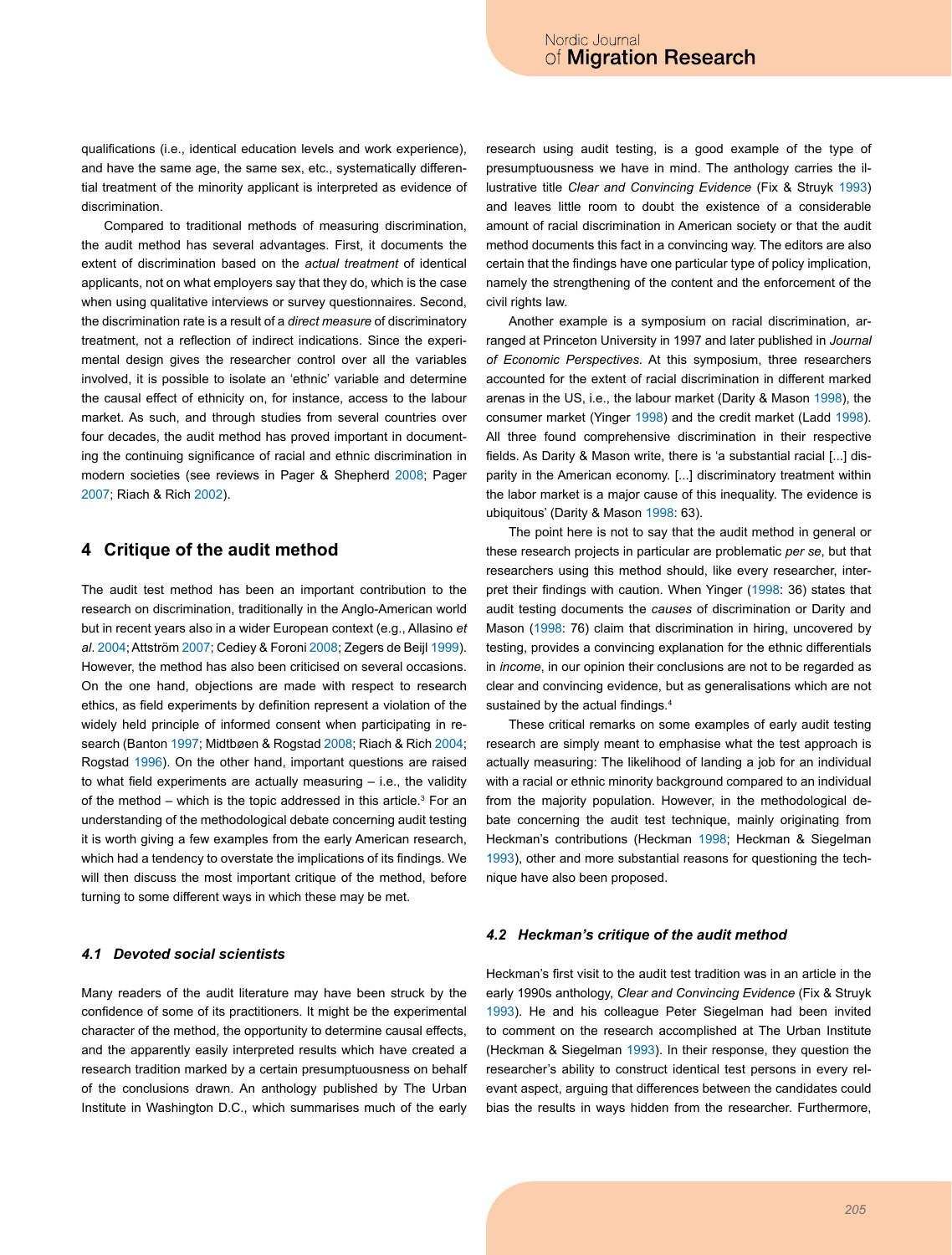qualifications (i.e., identical education levels and work experience), and have the same age, the same sex, etc., systematically differential treatment of the minority applicant is interpreted as evidence of discrimination

Compared to traditional methods of measuring discrimination, the audit method has several advantages. First, it documents the extent of discrimination based on the actual treatment of identical applicants, not on what employers say that they do, which is the case when using qualitative interviews or survey questionnaires. Second, the discrimination rate is a result of a direct measure of discriminatory treatment, not a reflection of indirect indications. Since the experimental design gives the researcher control over all the variables involved, it is possible to isolate an 'ethnic' variable and determine the causal effect of ethnicity on, for instance, access to the labour market. As such, and through studies from several countries over four decades, the audit method has proved important in documenting the continuing significance of racial and ethnic discrimination in modern societies (see reviews in Pager & Shepherd 2008; Pager 2007; Riach & Rich 2002).

# 4 Critique of the audit method

The audit test method has been an important contribution to the research on discrimination, traditionally in the Anglo-American world but in recent years also in a wider European context (e.g., Allasino et al. 2004; Attström 2007; Cediey & Foroni 2008; Zegers de Beijl 1999). However, the method has also been criticised on several occasions. On the one hand, objections are made with respect to research ethics, as field experiments by definition represent a violation of the widely held principle of informed consent when participating in research (Banton 1997; Midtbøen & Rogstad 2008; Riach & Rich 2004; Rogstad 1996). On the other hand, important questions are raised to what field experiments are actually measuring  $-$  i.e., the validity of the method – which is the topic addressed in this article.<sup>3</sup> For an understanding of the methodological debate concerning audit testing it is worth giving a few examples from the early American research, which had a tendency to overstate the implications of its findings. We will then discuss the most important critique of the method, before turning to some different ways in which these may be met.

#### 4.1 Devoted social scientists

Many readers of the audit literature may have been struck by the confidence of some of its practitioners. It might be the experimental character of the method, the opportunity to determine causal effects, and the apparently easily interpreted results which have created a research tradition marked by a certain presumptuousness on behalf of the conclusions drawn. An anthology published by The Urban Institute in Washington D.C., which summarises much of the early research using audit testing, is a good example of the type of presumptuousness we have in mind. The anthology carries the illustrative title Clear and Convincing Evidence (Fix & Struyk 1993) and leaves little room to doubt the existence of a considerable amount of racial discrimination in American society or that the audit method documents this fact in a convincing way. The editors are also certain that the findings have one particular type of policy implication, namely the strengthening of the content and the enforcement of the civil rights law.

Another example is a symposium on racial discrimination, arranged at Princeton University in 1997 and later published in Journal of Economic Perspectives. At this symposium, three researchers accounted for the extent of racial discrimination in different marked arenas in the US, i.e., the labour market (Darity & Mason 1998), the consumer market (Yinger 1998) and the credit market (Ladd 1998). All three found comprehensive discrimination in their respective fields. As Darity & Mason write, there is 'a substantial racial [...] disparity in the American economy. [...] discriminatory treatment within the labor market is a major cause of this inequality. The evidence is ubiquitous' (Darity & Mason 1998: 63).

The point here is not to say that the audit method in general or these research projects in particular are problematic per se, but that researchers using this method should, like every researcher, interpret their findings with caution. When Yinger (1998: 36) states that audit testing documents the causes of discrimination or Darity and Mason (1998: 76) claim that discrimination in hiring, uncovered by testing, provides a convincing explanation for the ethnic differentials in income, in our opinion their conclusions are not to be regarded as clear and convincing evidence, but as generalisations which are not sustained by the actual findings.<sup>4</sup>

These critical remarks on some examples of early audit testing research are simply meant to emphasise what the test approach is actually measuring: The likelihood of landing a job for an individual with a racial or ethnic minority background compared to an individual from the majority population. However, in the methodological debate concerning the audit test technique, mainly originating from Heckman's contributions (Heckman 1998; Heckman & Siegelman 1993), other and more substantial reasons for questioning the technique have also been proposed.

#### 4.2 Heckman's critique of the audit method

Heckman's first visit to the audit test tradition was in an article in the early 1990s anthology, Clear and Convincing Evidence (Fix & Struyk 1993). He and his colleague Peter Siegelman had been invited to comment on the research accomplished at The Urban Institute (Heckman & Siegelman 1993). In their response, they question the researcher's ability to construct identical test persons in every relevant aspect, arguing that differences between the candidates could bias the results in ways hidden from the researcher. Furthermore,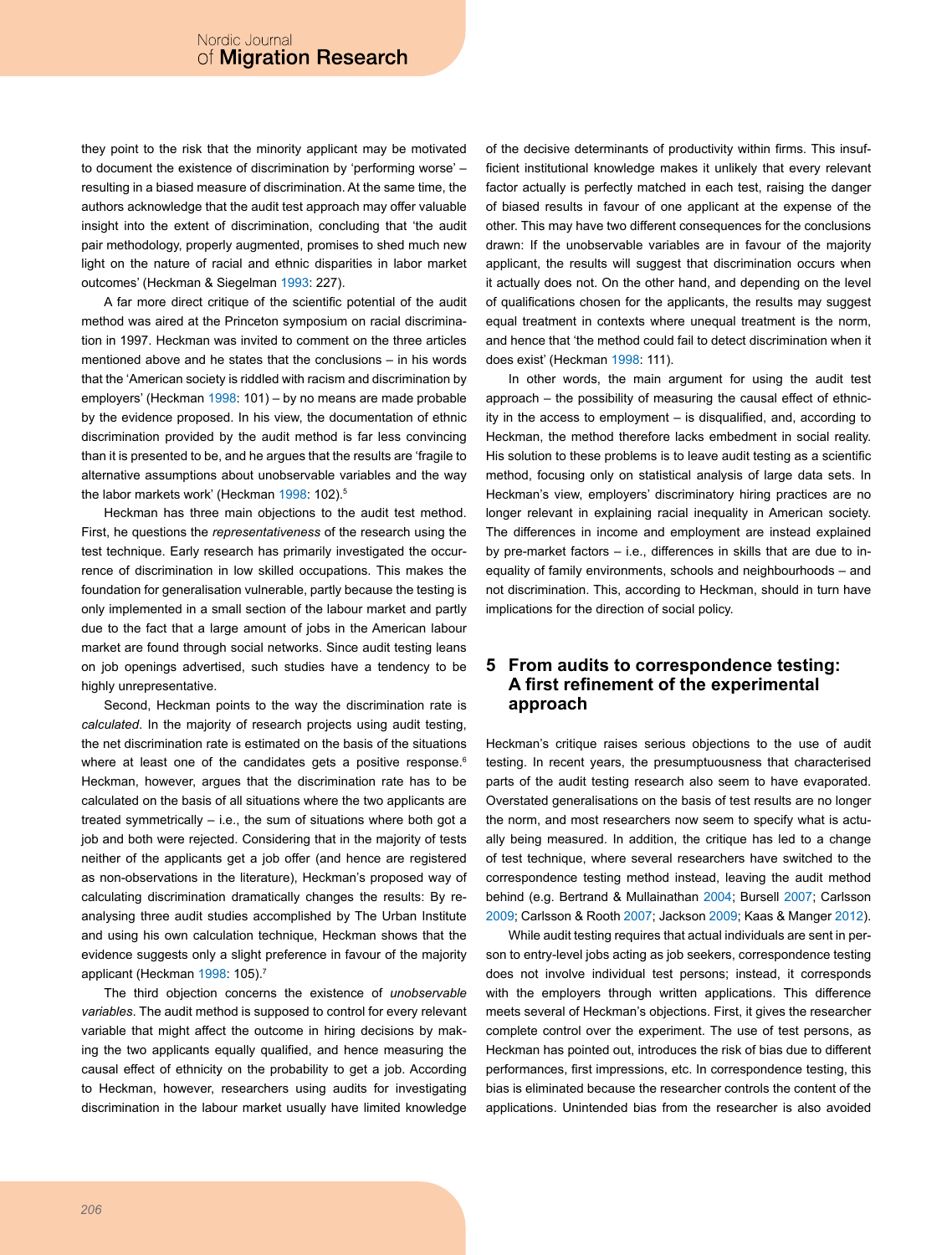they point to the risk that the minority applicant may be motivated to document the existence of discrimination by 'performing worse' resulting in a biased measure of discrimination. At the same time, the authors acknowledge that the audit test approach may offer valuable insight into the extent of discrimination, concluding that 'the audit pair methodology, properly augmented, promises to shed much new light on the nature of racial and ethnic disparities in labor market outcomes' (Heckman & Siegelman 1993: 227).

A far more direct critique of the scientific potential of the audit method was aired at the Princeton symposium on racial discrimination in 1997. Heckman was invited to comment on the three articles mentioned above and he states that the conclusions - in his words that the 'American society is riddled with racism and discrimination by employers' (Heckman 1998: 101) – by no means are made probable by the evidence proposed. In his view, the documentation of ethnic discrimination provided by the audit method is far less convincing than it is presented to be, and he argues that the results are 'fragile to alternative assumptions about unobservable variables and the way the labor markets work' (Heckman 1998: 102).<sup>5</sup>

Heckman has three main objections to the audit test method. First, he questions the representativeness of the research using the test technique. Early research has primarily investigated the occurrence of discrimination in low skilled occupations. This makes the foundation for generalisation vulnerable, partly because the testing is only implemented in a small section of the labour market and partly due to the fact that a large amount of jobs in the American labour market are found through social networks. Since audit testing leans on job openings advertised, such studies have a tendency to be highly unrepresentative.

Second, Heckman points to the way the discrimination rate is calculated. In the majority of research projects using audit testing, the net discrimination rate is estimated on the basis of the situations where at least one of the candidates gets a positive response.<sup>6</sup> Heckman, however, argues that the discrimination rate has to be calculated on the basis of all situations where the two applicants are treated symmetrically  $-$  i.e., the sum of situations where both got a job and both were rejected. Considering that in the majority of tests neither of the applicants get a job offer (and hence are registered as non-observations in the literature), Heckman's proposed way of calculating discrimination dramatically changes the results: By reanalysing three audit studies accomplished by The Urban Institute and using his own calculation technique, Heckman shows that the evidence suggests only a slight preference in favour of the majority applicant (Heckman 1998: 105).7

The third objection concerns the existence of unobservable variables. The audit method is supposed to control for every relevant variable that might affect the outcome in hiring decisions by making the two applicants equally qualified, and hence measuring the causal effect of ethnicity on the probability to get a job. According to Heckman, however, researchers using audits for investigating discrimination in the labour market usually have limited knowledge of the decisive determinants of productivity within firms. This insufficient institutional knowledge makes it unlikely that every relevant factor actually is perfectly matched in each test, raising the danger of biased results in favour of one applicant at the expense of the other. This may have two different consequences for the conclusions drawn: If the unobservable variables are in favour of the majority applicant, the results will suggest that discrimination occurs when it actually does not. On the other hand, and depending on the level of qualifications chosen for the applicants, the results may suggest equal treatment in contexts where unequal treatment is the norm, and hence that 'the method could fail to detect discrimination when it does exist' (Heckman 1998: 111).

In other words, the main argument for using the audit test approach - the possibility of measuring the causal effect of ethnicity in the access to employment  $-$  is disqualified, and, according to Heckman, the method therefore lacks embedment in social reality. His solution to these problems is to leave audit testing as a scientific method, focusing only on statistical analysis of large data sets. In Heckman's view, employers' discriminatory hiring practices are no longer relevant in explaining racial inequality in American society. The differences in income and employment are instead explained by pre-market factors - i.e., differences in skills that are due to inequality of family environments, schools and neighbourhoods - and not discrimination. This, according to Heckman, should in turn have implications for the direction of social policy.

### 5 From audits to correspondence testing: A first refinement of the experimental approach

Heckman's critique raises serious objections to the use of audit testing. In recent years, the presumptuousness that characterised parts of the audit testing research also seem to have evaporated. Overstated generalisations on the basis of test results are no longer the norm, and most researchers now seem to specify what is actually being measured. In addition, the critique has led to a change of test technique, where several researchers have switched to the correspondence testing method instead, leaving the audit method behind (e.g. Bertrand & Mullainathan 2004; Bursell 2007; Carlsson 2009; Carlsson & Rooth 2007; Jackson 2009; Kaas & Manger 2012).

While audit testing requires that actual individuals are sent in person to entry-level jobs acting as job seekers, correspondence testing does not involve individual test persons; instead, it corresponds with the employers through written applications. This difference meets several of Heckman's objections. First, it gives the researcher complete control over the experiment. The use of test persons, as Heckman has pointed out, introduces the risk of bias due to different performances, first impressions, etc. In correspondence testing, this bias is eliminated because the researcher controls the content of the applications. Unintended bias from the researcher is also avoided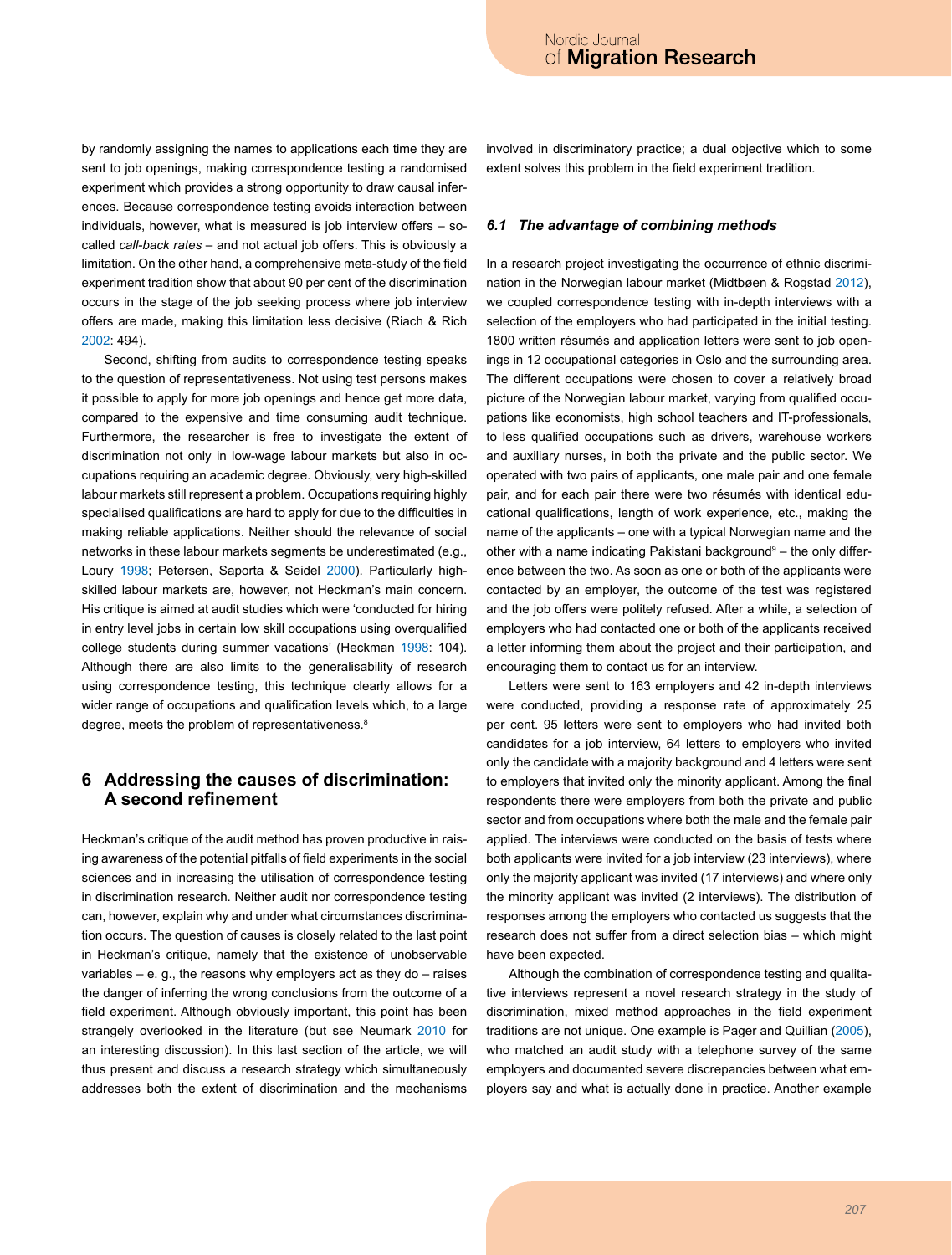by randomly assigning the names to applications each time they are sent to job openings, making correspondence testing a randomised experiment which provides a strong opportunity to draw causal inferences. Because correspondence testing avoids interaction between individuals, however, what is measured is job interview offers - socalled call-back rates - and not actual job offers. This is obviously a limitation. On the other hand, a comprehensive meta-study of the field experiment tradition show that about 90 per cent of the discrimination occurs in the stage of the job seeking process where job interview offers are made, making this limitation less decisive (Riach & Rich 2002: 494).

Second, shifting from audits to correspondence testing speaks to the question of representativeness. Not using test persons makes it possible to apply for more job openings and hence get more data, compared to the expensive and time consuming audit technique. Furthermore, the researcher is free to investigate the extent of discrimination not only in low-wage labour markets but also in occupations requiring an academic degree. Obviously, very high-skilled labour markets still represent a problem. Occupations requiring highly specialised qualifications are hard to apply for due to the difficulties in making reliable applications. Neither should the relevance of social networks in these labour markets segments be underestimated (e.g., Loury 1998; Petersen, Saporta & Seidel 2000). Particularly highskilled labour markets are, however, not Heckman's main concern. His critique is aimed at audit studies which were 'conducted for hiring in entry level jobs in certain low skill occupations using overqualified college students during summer vacations' (Heckman 1998: 104). Although there are also limits to the generalisability of research using correspondence testing, this technique clearly allows for a wider range of occupations and qualification levels which, to a large degree, meets the problem of representativeness.<sup>8</sup>

### 6 Addressing the causes of discrimination: A second refinement

Heckman's critique of the audit method has proven productive in raising awareness of the potential pitfalls of field experiments in the social sciences and in increasing the utilisation of correspondence testing in discrimination research. Neither audit nor correspondence testing can, however, explain why and under what circumstances discrimination occurs. The question of causes is closely related to the last point in Heckman's critique, namely that the existence of unobservable variables  $-$  e. g., the reasons why employers act as they do  $-$  raises the danger of inferring the wrong conclusions from the outcome of a field experiment. Although obviously important, this point has been strangely overlooked in the literature (but see Neumark 2010 for an interesting discussion). In this last section of the article, we will thus present and discuss a research strategy which simultaneously addresses both the extent of discrimination and the mechanisms

involved in discriminatory practice; a dual objective which to some extent solves this problem in the field experiment tradition.

#### 6.1 The advantage of combining methods

In a research project investigating the occurrence of ethnic discrimination in the Norwegian labour market (Midtbøen & Rogstad 2012), we coupled correspondence testing with in-depth interviews with a selection of the employers who had participated in the initial testing. 1800 written résumés and application letters were sent to job openings in 12 occupational categories in Oslo and the surrounding area. The different occupations were chosen to cover a relatively broad picture of the Norwegian labour market, varying from qualified occupations like economists, high school teachers and IT-professionals, to less qualified occupations such as drivers, warehouse workers and auxiliary nurses, in both the private and the public sector. We operated with two pairs of applicants, one male pair and one female pair, and for each pair there were two résumés with identical educational qualifications, length of work experience, etc., making the name of the applicants – one with a typical Norwegian name and the other with a name indicating Pakistani background<sup>9</sup> - the only difference between the two. As soon as one or both of the applicants were contacted by an employer, the outcome of the test was registered and the job offers were politely refused. After a while, a selection of employers who had contacted one or both of the applicants received a letter informing them about the project and their participation, and encouraging them to contact us for an interview.

Letters were sent to 163 employers and 42 in-depth interviews were conducted, providing a response rate of approximately 25 per cent. 95 letters were sent to employers who had invited both candidates for a job interview, 64 letters to employers who invited only the candidate with a majority background and 4 letters were sent to employers that invited only the minority applicant. Among the final respondents there were employers from both the private and public sector and from occupations where both the male and the female pair applied. The interviews were conducted on the basis of tests where both applicants were invited for a job interview (23 interviews), where only the majority applicant was invited (17 interviews) and where only the minority applicant was invited (2 interviews). The distribution of responses among the employers who contacted us suggests that the research does not suffer from a direct selection bias - which might have been expected.

Although the combination of correspondence testing and qualitative interviews represent a novel research strategy in the study of discrimination, mixed method approaches in the field experiment traditions are not unique. One example is Pager and Quillian (2005), who matched an audit study with a telephone survey of the same employers and documented severe discrepancies between what employers say and what is actually done in practice. Another example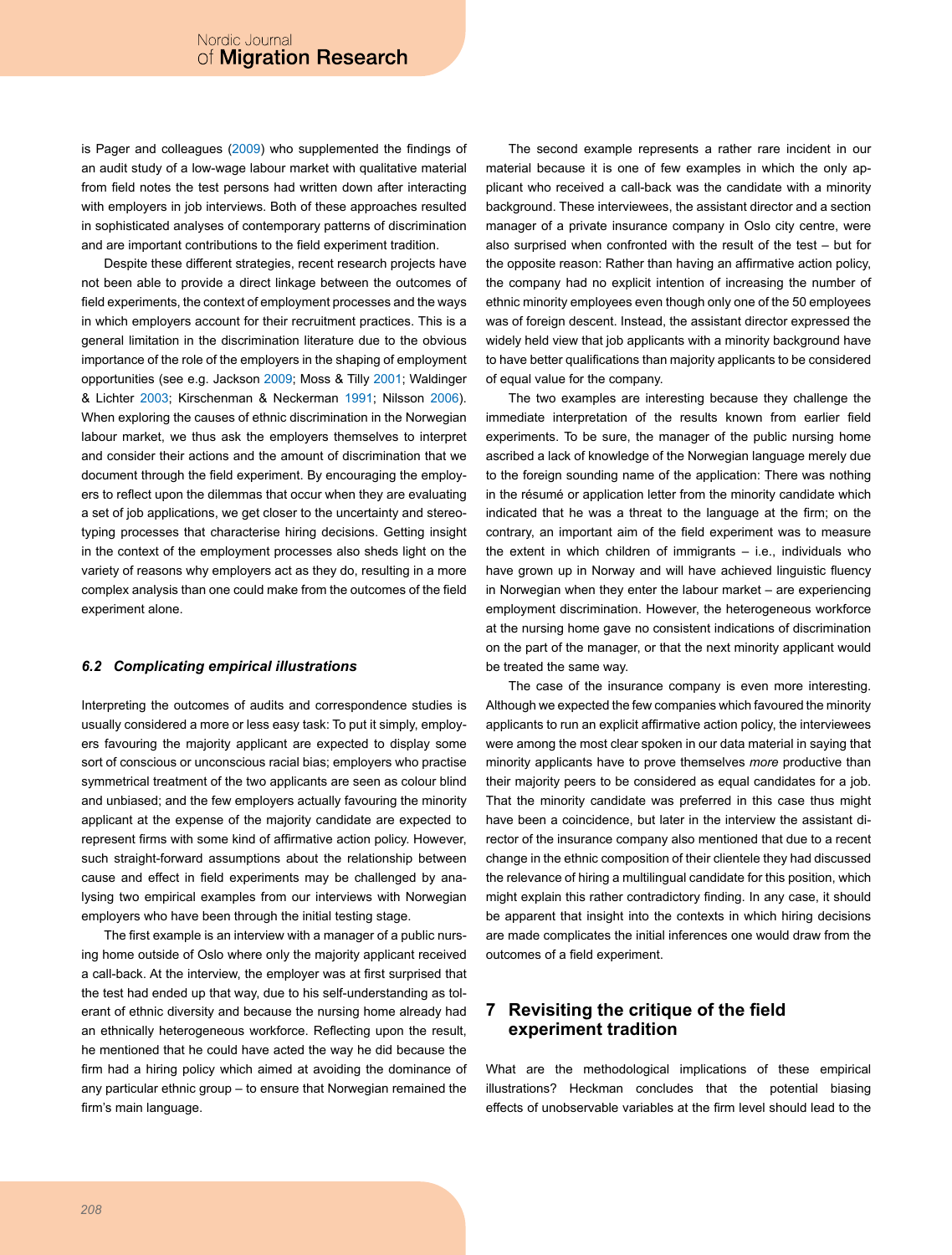is Pager and colleagues (2009) who supplemented the findings of an audit study of a low-wage labour market with qualitative material from field notes the test persons had written down after interacting with employers in job interviews. Both of these approaches resulted in sophisticated analyses of contemporary patterns of discrimination and are important contributions to the field experiment tradition.

Despite these different strategies, recent research projects have not been able to provide a direct linkage between the outcomes of field experiments, the context of employment processes and the ways in which employers account for their recruitment practices. This is a general limitation in the discrimination literature due to the obvious importance of the role of the employers in the shaping of employment opportunities (see e.g. Jackson 2009; Moss & Tilly 2001; Waldinger & Lichter 2003: Kirschenman & Neckerman 1991: Nilsson 2006). When exploring the causes of ethnic discrimination in the Norwegian labour market, we thus ask the employers themselves to interpret and consider their actions and the amount of discrimination that we document through the field experiment. By encouraging the employers to reflect upon the dilemmas that occur when they are evaluating a set of job applications, we get closer to the uncertainty and stereotyping processes that characterise hiring decisions. Getting insight in the context of the employment processes also sheds light on the variety of reasons why employers act as they do, resulting in a more complex analysis than one could make from the outcomes of the field experiment alone.

#### 6.2 Complicating empirical illustrations

Interpreting the outcomes of audits and correspondence studies is usually considered a more or less easy task: To put it simply, employers favouring the majority applicant are expected to display some sort of conscious or unconscious racial bias; employers who practise symmetrical treatment of the two applicants are seen as colour blind and unbiased; and the few employers actually favouring the minority applicant at the expense of the majority candidate are expected to represent firms with some kind of affirmative action policy. However, such straight-forward assumptions about the relationship between cause and effect in field experiments may be challenged by analysing two empirical examples from our interviews with Norwegian employers who have been through the initial testing stage.

The first example is an interview with a manager of a public nursing home outside of Oslo where only the majority applicant received a call-back. At the interview, the employer was at first surprised that the test had ended up that way, due to his self-understanding as tolerant of ethnic diversity and because the nursing home already had an ethnically heterogeneous workforce. Reflecting upon the result, he mentioned that he could have acted the way he did because the firm had a hiring policy which aimed at avoiding the dominance of any particular ethnic group - to ensure that Norwegian remained the firm's main language.

The second example represents a rather rare incident in our material because it is one of few examples in which the only applicant who received a call-back was the candidate with a minority background. These interviewees, the assistant director and a section manager of a private insurance company in Oslo city centre, were also surprised when confronted with the result of the test - but for the opposite reason: Rather than having an affirmative action policy, the company had no explicit intention of increasing the number of ethnic minority employees even though only one of the 50 employees was of foreign descent. Instead, the assistant director expressed the widely held view that job applicants with a minority background have to have better qualifications than majority applicants to be considered of equal value for the company.

The two examples are interesting because they challenge the immediate interpretation of the results known from earlier field experiments. To be sure, the manager of the public nursing home ascribed a lack of knowledge of the Norwegian language merely due to the foreign sounding name of the application: There was nothing in the résumé or application letter from the minority candidate which indicated that he was a threat to the language at the firm; on the contrary, an important aim of the field experiment was to measure the extent in which children of immigrants  $-$  i.e., individuals who have grown up in Norway and will have achieved linguistic fluency in Norwegian when they enter the labour market  $-$  are experiencing employment discrimination. However, the heterogeneous workforce at the nursing home gave no consistent indications of discrimination on the part of the manager, or that the next minority applicant would be treated the same way.

The case of the insurance company is even more interesting. Although we expected the few companies which favoured the minority applicants to run an explicit affirmative action policy, the interviewees were among the most clear spoken in our data material in saying that minority applicants have to prove themselves more productive than their majority peers to be considered as equal candidates for a job. That the minority candidate was preferred in this case thus might have been a coincidence, but later in the interview the assistant director of the insurance company also mentioned that due to a recent change in the ethnic composition of their clientele they had discussed the relevance of hiring a multilingual candidate for this position, which might explain this rather contradictory finding. In any case, it should be apparent that insight into the contexts in which hiring decisions are made complicates the initial inferences one would draw from the outcomes of a field experiment.

### 7 Revisiting the critique of the field experiment tradition

What are the methodological implications of these empirical illustrations? Heckman concludes that the potential biasing effects of unobservable variables at the firm level should lead to the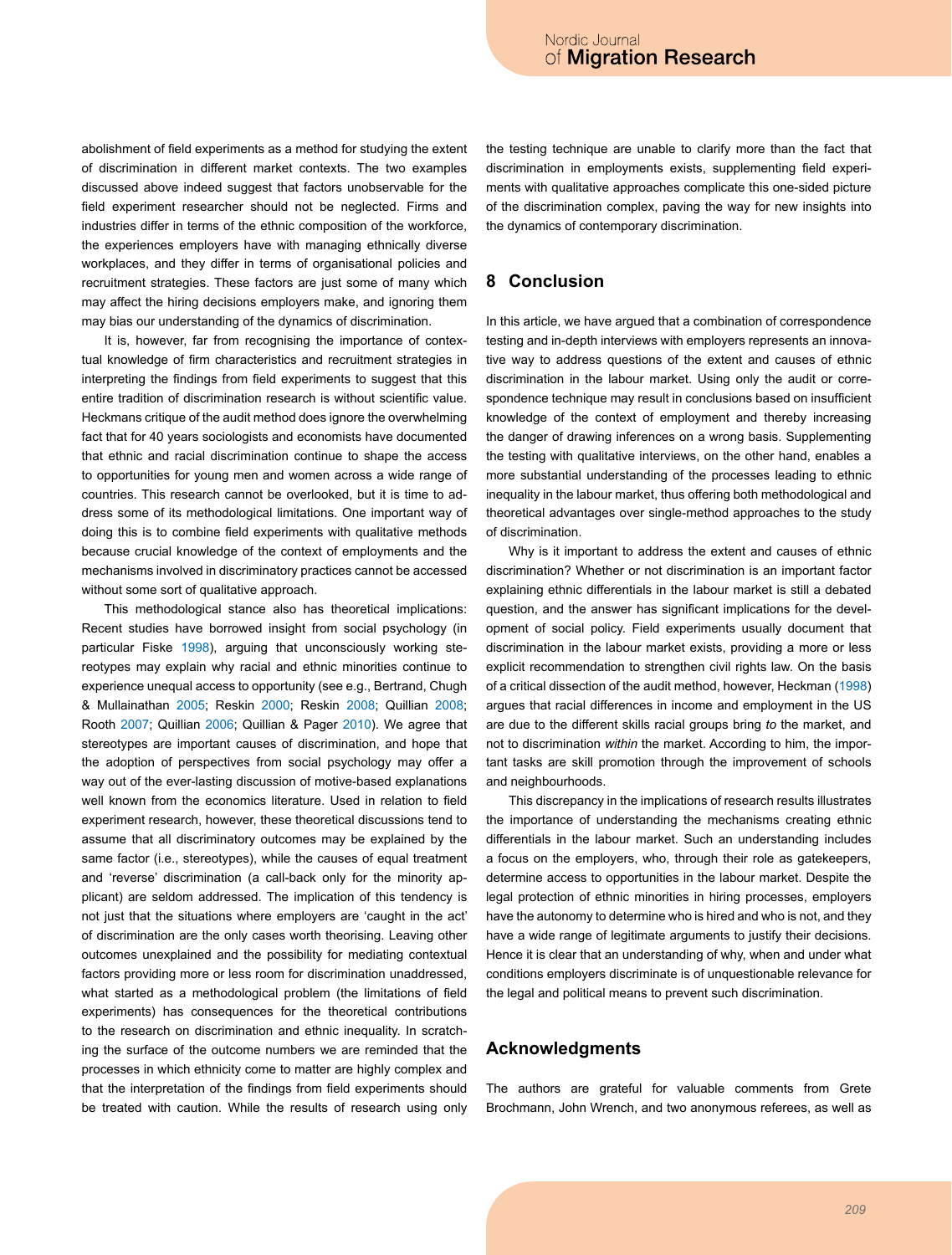abolishment of field experiments as a method for studying the extent of discrimination in different market contexts. The two examples discussed above indeed suggest that factors unobservable for the field experiment researcher should not be neglected. Firms and industries differ in terms of the ethnic composition of the workforce, the experiences employers have with managing ethnically diverse workplaces, and they differ in terms of organisational policies and recruitment strategies. These factors are just some of many which may affect the hiring decisions employers make, and ignoring them may bias our understanding of the dynamics of discrimination.

It is, however, far from recognising the importance of contextual knowledge of firm characteristics and recruitment strategies in interpreting the findings from field experiments to suggest that this entire tradition of discrimination research is without scientific value. Heckmans critique of the audit method does ignore the overwhelming fact that for 40 years sociologists and economists have documented that ethnic and racial discrimination continue to shape the access to opportunities for young men and women across a wide range of countries. This research cannot be overlooked, but it is time to address some of its methodological limitations. One important way of doing this is to combine field experiments with qualitative methods because crucial knowledge of the context of employments and the mechanisms involved in discriminatory practices cannot be accessed without some sort of qualitative approach.

This methodological stance also has theoretical implications: Recent studies have borrowed insight from social psychology (in particular Fiske 1998), arguing that unconsciously working stereotypes may explain why racial and ethnic minorities continue to experience unequal access to opportunity (see e.g., Bertrand, Chugh & Mullainathan 2005; Reskin 2000; Reskin 2008; Quillian 2008; Rooth 2007; Quillian 2006; Quillian & Pager 2010). We agree that stereotypes are important causes of discrimination, and hope that the adoption of perspectives from social psychology may offer a way out of the ever-lasting discussion of motive-based explanations well known from the economics literature. Used in relation to field experiment research, however, these theoretical discussions tend to assume that all discriminatory outcomes may be explained by the same factor (i.e., stereotypes), while the causes of equal treatment and 'reverse' discrimination (a call-back only for the minority applicant) are seldom addressed. The implication of this tendency is not just that the situations where employers are 'caught in the act' of discrimination are the only cases worth theorising. Leaving other outcomes unexplained and the possibility for mediating contextual factors providing more or less room for discrimination unaddressed, what started as a methodological problem (the limitations of field experiments) has consequences for the theoretical contributions to the research on discrimination and ethnic inequality. In scratching the surface of the outcome numbers we are reminded that the processes in which ethnicity come to matter are highly complex and that the interpretation of the findings from field experiments should be treated with caution. While the results of research using only

the testing technique are unable to clarify more than the fact that discrimination in employments exists, supplementing field experiments with qualitative approaches complicate this one-sided picture of the discrimination complex, paving the way for new insights into the dynamics of contemporary discrimination.

# 8 Conclusion

In this article, we have argued that a combination of correspondence testing and in-depth interviews with employers represents an innovative way to address questions of the extent and causes of ethnic discrimination in the labour market. Using only the audit or correspondence technique may result in conclusions based on insufficient knowledge of the context of employment and thereby increasing the danger of drawing inferences on a wrong basis. Supplementing the testing with qualitative interviews, on the other hand, enables a more substantial understanding of the processes leading to ethnic inequality in the labour market, thus offering both methodological and theoretical advantages over single-method approaches to the study of discrimination.

Why is it important to address the extent and causes of ethnic discrimination? Whether or not discrimination is an important factor explaining ethnic differentials in the labour market is still a debated question, and the answer has significant implications for the development of social policy. Field experiments usually document that discrimination in the labour market exists, providing a more or less explicit recommendation to strengthen civil rights law. On the basis of a critical dissection of the audit method, however, Heckman (1998) argues that racial differences in income and employment in the US are due to the different skills racial groups bring to the market, and not to discrimination within the market. According to him, the important tasks are skill promotion through the improvement of schools and neighbourhoods.

This discrepancy in the implications of research results illustrates the importance of understanding the mechanisms creating ethnic differentials in the labour market. Such an understanding includes a focus on the employers, who, through their role as gatekeepers, determine access to opportunities in the labour market. Despite the legal protection of ethnic minorities in hiring processes, employers have the autonomy to determine who is hired and who is not, and they have a wide range of legitimate arguments to justify their decisions. Hence it is clear that an understanding of why, when and under what conditions employers discriminate is of unquestionable relevance for the legal and political means to prevent such discrimination.

#### **Acknowledgments**

The authors are grateful for valuable comments from Grete Brochmann, John Wrench, and two anonymous referees, as well as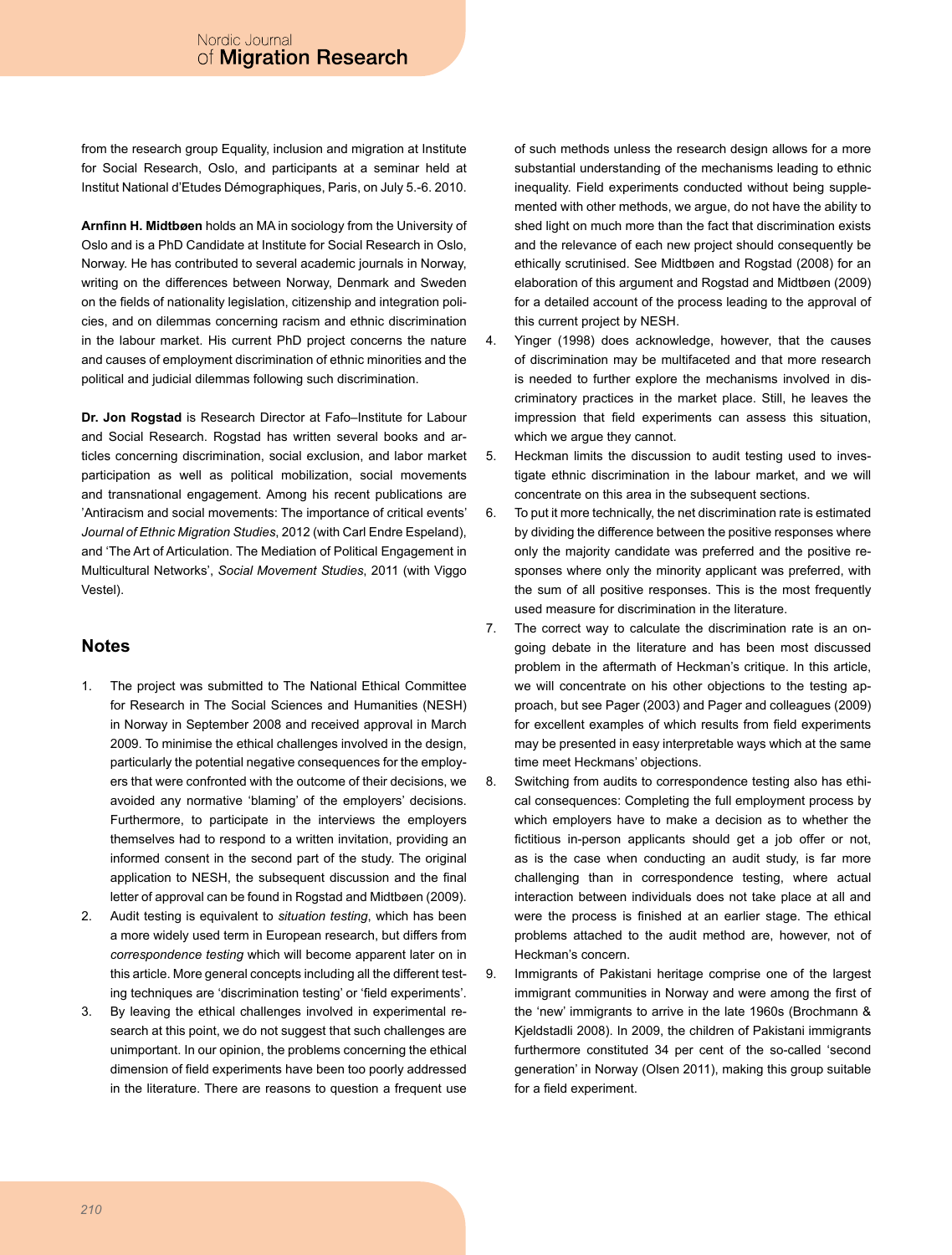from the research group Equality, inclusion and migration at Institute for Social Research. Oslo, and participants at a seminar held at Institut National d'Etudes Démographiques, Paris, on July 5.-6. 2010.

Arnfinn H. Midtbøen holds an MA in sociology from the University of Oslo and is a PhD Candidate at Institute for Social Research in Oslo, Norway. He has contributed to several academic journals in Norway, writing on the differences between Norway, Denmark and Sweden on the fields of nationality legislation, citizenship and integration policies, and on dilemmas concerning racism and ethnic discrimination in the labour market. His current PhD project concerns the nature and causes of employment discrimination of ethnic minorities and the political and judicial dilemmas following such discrimination.

Dr. Jon Rogstad is Research Director at Fafo-Institute for Labour and Social Research. Rogstad has written several books and articles concerning discrimination, social exclusion, and labor market participation as well as political mobilization, social movements and transnational engagement. Among his recent publications are 'Antiracism and social movements: The importance of critical events' Journal of Ethnic Migration Studies, 2012 (with Carl Endre Espeland), and 'The Art of Articulation. The Mediation of Political Engagement in Multicultural Networks', Social Movement Studies, 2011 (with Viggo Vestel).

# **Notes**

- $\mathbf{1}$ The project was submitted to The National Ethical Committee for Research in The Social Sciences and Humanities (NESH) in Norway in September 2008 and received approval in March 2009. To minimise the ethical challenges involved in the design, particularly the potential negative consequences for the employers that were confronted with the outcome of their decisions, we avoided any normative 'blaming' of the employers' decisions. Furthermore, to participate in the interviews the employers themselves had to respond to a written invitation, providing an informed consent in the second part of the study. The original application to NESH, the subsequent discussion and the final letter of approval can be found in Rogstad and Midtbøen (2009).
- $\mathcal{P}$ Audit testing is equivalent to situation testing, which has been a more widely used term in European research, but differs from correspondence testing which will become apparent later on in this article. More general concepts including all the different testing techniques are 'discrimination testing' or 'field experiments'.
- By leaving the ethical challenges involved in experimental re- $3.$ search at this point, we do not suggest that such challenges are unimportant. In our opinion, the problems concerning the ethical dimension of field experiments have been too poorly addressed in the literature. There are reasons to question a frequent use

of such methods unless the research design allows for a more substantial understanding of the mechanisms leading to ethnic inequality. Field experiments conducted without being supplemented with other methods, we argue, do not have the ability to shed light on much more than the fact that discrimination exists and the relevance of each new project should consequently be ethically scrutinised. See Midtbøen and Rogstad (2008) for an elaboration of this argument and Rogstad and Midtbøen (2009) for a detailed account of the process leading to the approval of this current project by NESH.

- Yinger (1998) does acknowledge, however, that the causes  $\overline{4}$ of discrimination may be multifaceted and that more research is needed to further explore the mechanisms involved in discriminatory practices in the market place. Still, he leaves the impression that field experiments can assess this situation, which we argue they cannot.
- $5.$ Heckman limits the discussion to audit testing used to investigate ethnic discrimination in the labour market, and we will concentrate on this area in the subsequent sections.
- 6. To put it more technically, the net discrimination rate is estimated by dividing the difference between the positive responses where only the majority candidate was preferred and the positive responses where only the minority applicant was preferred, with the sum of all positive responses. This is the most frequently used measure for discrimination in the literature.
- $7.$ The correct way to calculate the discrimination rate is an ongoing debate in the literature and has been most discussed problem in the aftermath of Heckman's critique. In this article, we will concentrate on his other objections to the testing approach, but see Pager (2003) and Pager and colleagues (2009) for excellent examples of which results from field experiments may be presented in easy interpretable ways which at the same time meet Heckmans' objections.
- Switching from audits to correspondence testing also has ethi-8. cal consequences: Completing the full employment process by which employers have to make a decision as to whether the fictitious in-person applicants should get a job offer or not, as is the case when conducting an audit study, is far more challenging than in correspondence testing, where actual interaction between individuals does not take place at all and were the process is finished at an earlier stage. The ethical problems attached to the audit method are, however, not of Heckman's concern.
- 9 Immigrants of Pakistani heritage comprise one of the largest immigrant communities in Norway and were among the first of the 'new' immigrants to arrive in the late 1960s (Brochmann & Kjeldstadli 2008). In 2009, the children of Pakistani immigrants furthermore constituted 34 per cent of the so-called 'second generation' in Norway (Olsen 2011), making this group suitable for a field experiment.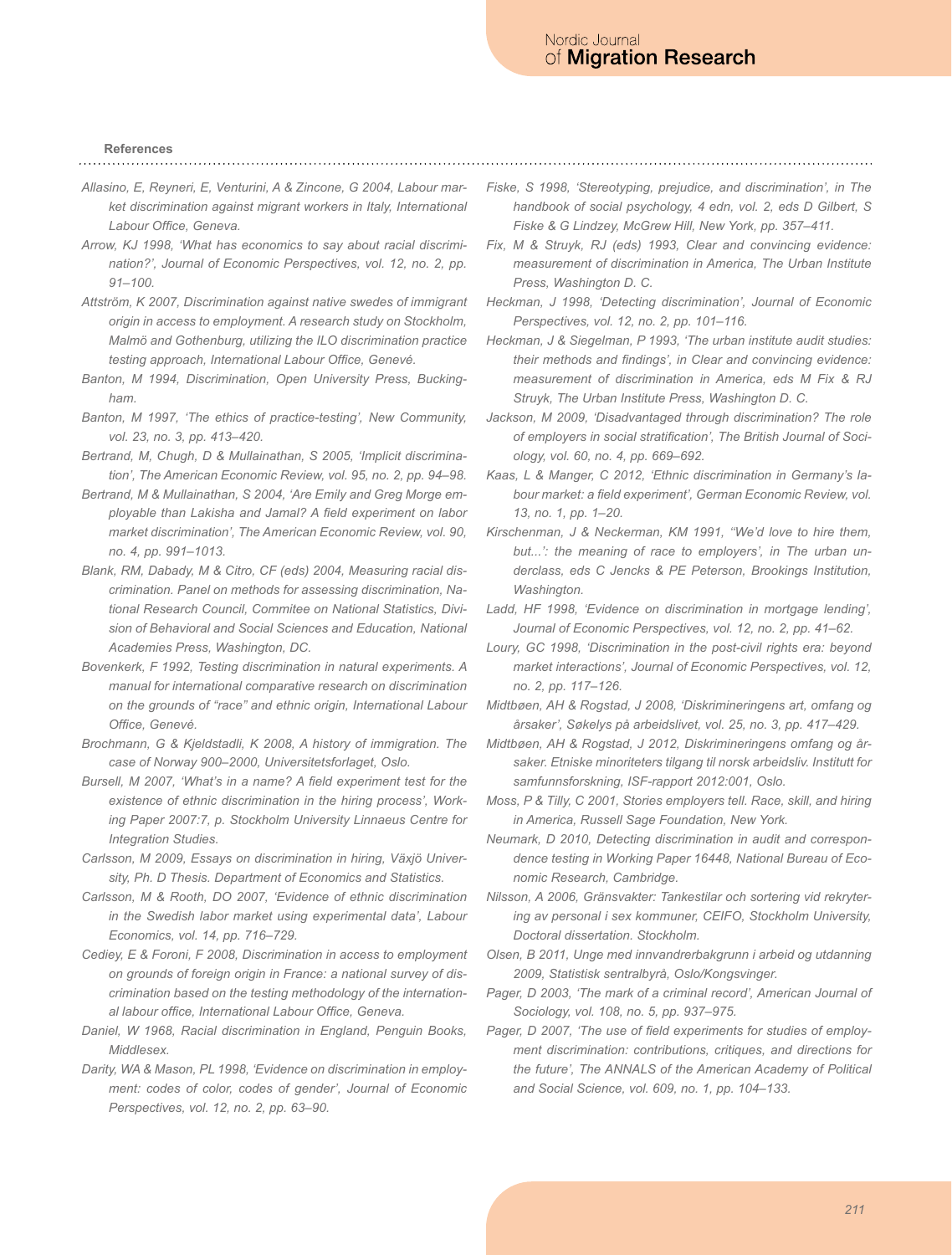#### Nordic Journal of Migration Research

#### **References**

- Allasino, E, Reyneri, E, Venturini, A & Zincone, G 2004, Labour market discrimination against migrant workers in Italy, International Labour Office, Geneva.
- Arrow, KJ 1998, 'What has economics to say about racial discrimination?', Journal of Economic Perspectives, vol. 12, no. 2, pp.  $91 - 100$
- Attström, K 2007, Discrimination against native swedes of immigrant origin in access to employment. A research study on Stockholm, Malmö and Gothenburg, utilizing the ILO discrimination practice testing approach, International Labour Office, Genevé.
- Banton, M 1994, Discrimination, Open University Press, Buckingham
- Banton, M 1997, 'The ethics of practice-testing', New Community, vol. 23, no. 3, pp. 413-420.
- Bertrand, M, Chugh, D & Mullainathan, S 2005, 'Implicit discrimination', The American Economic Review, vol. 95, no. 2, pp. 94-98.
- Bertrand, M & Mullainathan, S 2004, 'Are Emily and Greg Morge employable than Lakisha and Jamal? A field experiment on labor market discrimination', The American Economic Review, vol. 90, no. 4, pp. 991-1013.
- Blank, RM, Dabady, M & Citro, CF (eds) 2004, Measuring racial discrimination. Panel on methods for assessing discrimination, National Research Council, Commitee on National Statistics, Division of Behavioral and Social Sciences and Education. National Academies Press, Washington, DC.
- Bovenkerk, F 1992, Testing discrimination in natural experiments. A manual for international comparative research on discrimination on the grounds of "race" and ethnic origin, International Labour Office, Genevé.
- Brochmann, G & Kjeldstadli, K 2008, A history of immigration. The case of Norway 900-2000, Universitetsforlaget, Oslo.
- Bursell, M 2007, 'What's in a name? A field experiment test for the existence of ethnic discrimination in the hiring process', Working Paper 2007:7, p. Stockholm University Linnaeus Centre for **Integration Studies.**
- Carlsson, M 2009, Essays on discrimination in hiring, Växjö University, Ph. D Thesis. Department of Economics and Statistics.
- Carlsson, M & Rooth, DO 2007, 'Evidence of ethnic discrimination in the Swedish labor market using experimental data', Labour Economics, vol. 14, pp. 716-729.
- Cediev. E & Foroni. F 2008. Discrimination in access to employment on grounds of foreign origin in France: a national survey of discrimination based on the testing methodology of the international labour office, International Labour Office, Geneva.
- Daniel, W 1968, Racial discrimination in England, Penguin Books, Middlesex
- Darity, WA & Mason, PL 1998, 'Evidence on discrimination in employment: codes of color, codes of gender', Journal of Economic Perspectives, vol. 12, no. 2, pp. 63-90.
- Fiske, S 1998, 'Stereotyping, prejudice, and discrimination', in The handbook of social psychology, 4 edn, vol. 2, eds D Gilbert, S Fiske & G Lindzey, McGrew Hill, New York, pp. 357-411.
- Fix, M & Struyk, RJ (eds) 1993, Clear and convincing evidence: measurement of discrimination in America, The Urban Institute Press, Washington D. C.
- Heckman, J 1998, 'Detecting discrimination', Journal of Economic Perspectives, vol. 12, no. 2, pp. 101-116.
- Heckman, J & Siegelman, P 1993, 'The urban institute audit studies: their methods and findings', in Clear and convincing evidence: measurement of discrimination in America, eds M Fix & RJ Struvk. The Urban Institute Press. Washington D. C.
- Jackson, M 2009, 'Disadvantaged through discrimination? The role of employers in social stratification', The British Journal of Sociology, vol. 60, no. 4, pp. 669-692.
- Kaas, L & Manger, C 2012, 'Ethnic discrimination in Germany's labour market: a field experiment', German Economic Review, vol. 13, no. 1, pp. 1-20.
- Kirschenman, J & Neckerman, KM 1991, "We'd love to hire them, but...': the meaning of race to employers', in The urban underclass, eds C Jencks & PE Peterson, Brookings Institution, Washington.
- Ladd, HF 1998, 'Evidence on discrimination in mortgage lending', Journal of Economic Perspectives, vol. 12, no. 2, pp. 41-62.
- Loury, GC 1998, 'Discrimination in the post-civil rights era: beyond market interactions', Journal of Economic Perspectives, vol. 12, no. 2, pp. 117-126.
- Midtbøen, AH & Rogstad, J 2008, 'Diskrimineringens art, omfang og årsaker', Søkelys på arbeidslivet, vol. 25, no. 3, pp. 417-429.
- Midtbøen, AH & Rogstad, J 2012, Diskrimineringens omfang og årsaker. Etniske minoriteters tilgang til norsk arbeidsliv. Institutt for samfunnsforskning, ISF-rapport 2012:001, Oslo.
- Moss, P & Tilly, C 2001, Stories employers tell. Race, skill, and hiring in America, Russell Sage Foundation, New York.
- Neumark, D 2010, Detecting discrimination in audit and correspondence testing in Working Paper 16448, National Bureau of Economic Research, Cambridge.
- Nilsson, A 2006, Gränsvakter: Tankestilar och sortering vid rekrytering av personal i sex kommuner, CEIFO, Stockholm University, Doctoral dissertation. Stockholm.
- Olsen. B 2011. Unge med innvandrerbakgrunn i arbeid og utdanning 2009, Statistisk sentralbyrå, Oslo/Kongsvinger.
- Pager, D 2003, 'The mark of a criminal record', American Journal of Sociology, vol. 108, no. 5, pp. 937-975.
- Pager, D 2007, 'The use of field experiments for studies of employment discrimination: contributions, critiques, and directions for the future', The ANNALS of the American Academy of Political and Social Science, vol. 609, no. 1, pp. 104-133.